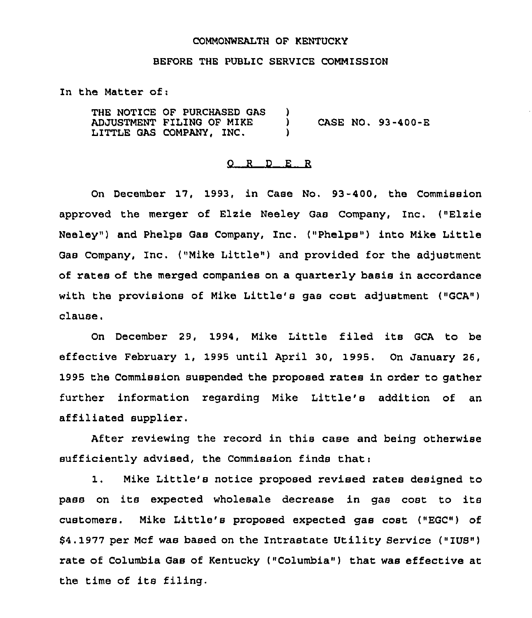### COMMONWEALTH OF KENTUCKY

#### BEFORE THE PUBLIC SERVICE COMMISSION

In the Matter of:

THE NOTICE OF PURCHASED GAS )<br>ADJUSTMENT FILING OF MIKE ) ADJUSTMENT FILING OF MIKE )<br>LITTLE GAS COMPANY. INC. ) LITTLE GAS COMPANY, INC. CASE NO. 93-400-E

### 0 <sup>R</sup> <sup>D</sup> E R

On December 17, 1993, in Case No. 93-400, the Commission approved the merger of Elzie Neeley Gas Company, Inc. ("Elzie Neeley") and Phelps Gas Company, Inc. ("Phelps") into Mike Little Gas Company, Inc. ("Mike Little") and provided for the adjustment of rates of the merged companies on a quarterly basis in accordance with the provisions of Mike Little's gas cost adjustment ("GCA") clause,

On December 29, 1994, Mike Little filed its GCA to be effective February 1, 1995 until April 30, 1995. On January 26, 1995 the Commission suspended the proposed rates in order to gather further information regarding Mike Little's addition of an affiliated supplier.

After reviewing the record in this case and being otherwise sufficiently advised, the Commission finds that:

 $1.$ Mike Little's notice proposed revised rates designed to pass on its expected wholesale decrease in gas cost to its customers, Mike Little's proposed expected gas cost ("EGC") of \$4.1977 per Mcf was based on the Intrastate Utility Service ("IUS") rate of Columbia Gas of Kentucky ("Columbia") that was effective at the time of its filing.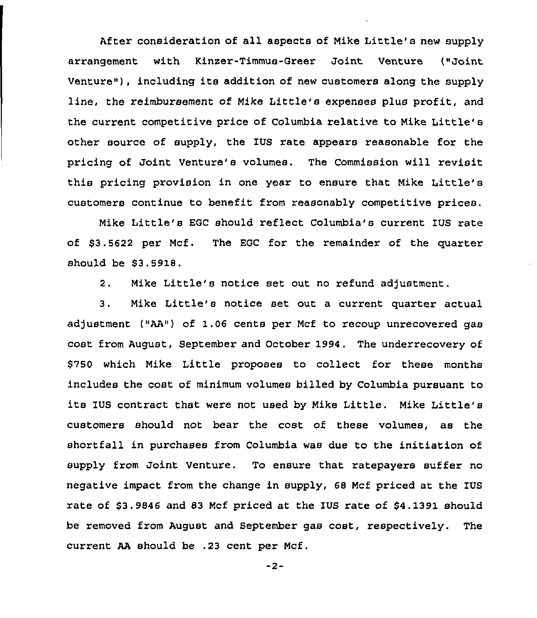After consideration of all aspects of Mike Little's new supply arrangement with Kinzer-Timmus-Greer Joint Venture ("Joint Venture"), including its addition of new customers along the supply line, the reimbursement of Mike Little's expenses plus profit, and the current competitive price of Columbia relative to Mike Little' other source of supply, the IUS rate appears reasonable for the pricing of Joint Venture's volumes. The Commission will revisit this pricing provision in one year to ensure that Mike Little's customers continue to benefit from reasonably competitive prices.

Mike Little's EGC should reflect Columbia's current IUS rate of \$3.5622 per Mcf. The EGC for the remainder of the quarter should be \$3.5918.

2. Mike Little's notice set out no refund adjustment.

3. Mike Little's notice set out <sup>a</sup> current quarter actual adjustment ("AA") of 1.06 cents per Mcf to recoup unrecovered gas cost from August, September and October 1994. The underrecovery of \$750 which Mike Little proposes to collect for these months includes the cost of minimum volumes billed by Columbia pursuant to its IUS contract that were not used by Mike Little. Nike Little's customers should not bear the cost of these volumes, as the shortfall in purchases from Columbia was due to the initiation of supply from Joint Venture. To ensure that ratepayers suffer no negative impact from the change in supply, 68 Mcf priced at the IUS rate of \$3.9846 and 83 Mcf priced at the IUS rate of \$4.1391 should be removed from August and September gas cost, respectively. The current AA should be .23 cent per Ncf.

-2-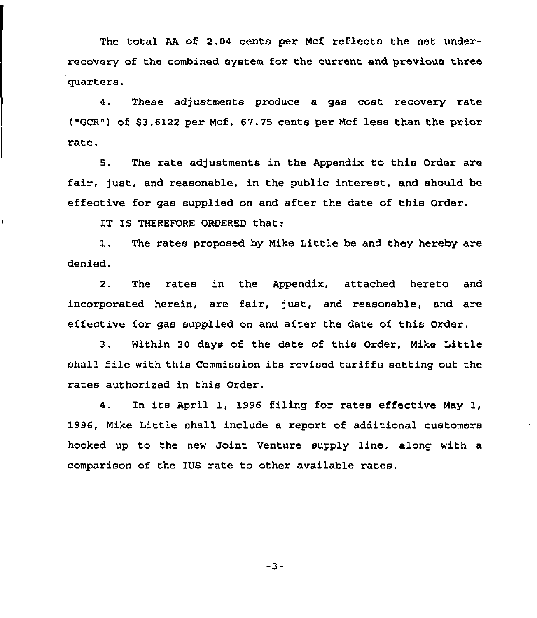The total AA of 2.04 cents per Mcf reflects the net underrecovery of the combined system for the current and previous three quarters.

4. These adjustments produce a gas cost recovery rate ("GCR") of \$3.6122 per Mcf, 67.75 cents per Mcf less than the prior rate.

5. The rate adjustments in the Appendix to this Order are fair, just, and reasonable, in the public interest, and should be effective for gas supplied on and after the date of this Order.

IT IS THEREFORE ORDERED that:

1. The rates proposed by Mike Little be and they hereby are denied.

2. The rates in the Appendix, attached hereto and incorporated herein, are fair, just, and reasonable, and are effective for gas supplied on and after the date of this Order.

3. Within 30 days of the date of this Order, Nike Little shall file with this Commission its revised tariffs setting out the rates authorized in this Order.

4. In its April 1, 1996 filing for rates effective May 1, 1996, Mike Little shall include a report of additional customers hooked up to the new Joint Venture supply line, along with a comparison of the IUS rate to other available rates.

-3-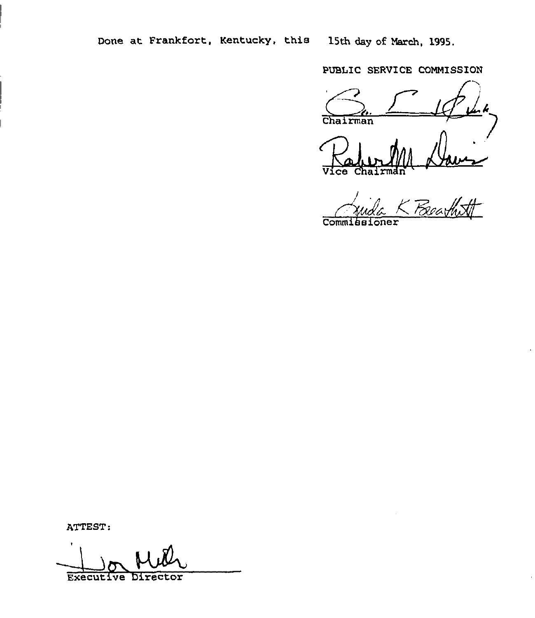PUBLIC SERVICE COMMISSION

Chairman

**Comm** ner

ATTEST:

Executive Director